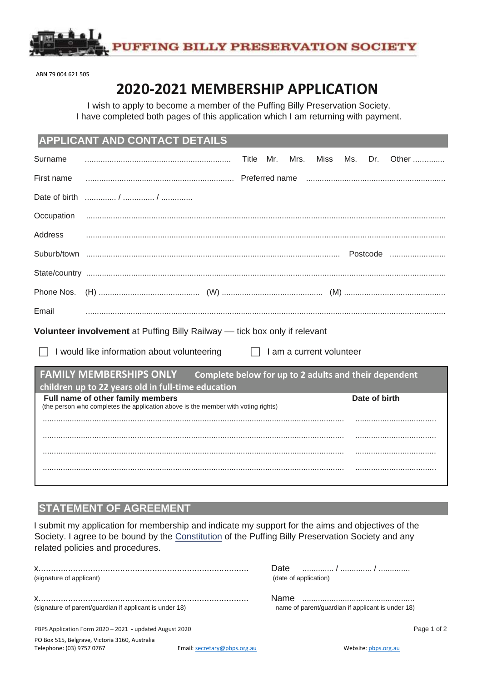

ABN 79 004 621 505

# **2020-2021 MEMBERSHIP APPLICATION**

I wish to apply to become a member of the Puffing Billy Preservation Society. I have completed both pages of this application which I am returning with payment.

### **APPLICANT AND CONTACT DETAILS**

| Surname                                                                           |                                                                                                                        | Title | Mr. | Mrs. | Miss                     | Ms. | Dr.           | Other |
|-----------------------------------------------------------------------------------|------------------------------------------------------------------------------------------------------------------------|-------|-----|------|--------------------------|-----|---------------|-------|
| First name                                                                        |                                                                                                                        |       |     |      |                          |     |               |       |
| Date of birth                                                                     |                                                                                                                        |       |     |      |                          |     |               |       |
| Occupation                                                                        |                                                                                                                        |       |     |      |                          |     |               |       |
| Address                                                                           |                                                                                                                        |       |     |      |                          |     |               |       |
|                                                                                   |                                                                                                                        |       |     |      |                          |     |               |       |
|                                                                                   |                                                                                                                        |       |     |      |                          |     |               |       |
| Phone Nos.                                                                        |                                                                                                                        |       |     |      |                          |     |               |       |
| Email                                                                             |                                                                                                                        |       |     |      |                          |     |               |       |
| <b>Volunteer involvement</b> at Puffing Billy Railway — tick box only if relevant |                                                                                                                        |       |     |      |                          |     |               |       |
|                                                                                   |                                                                                                                        |       |     |      |                          |     |               |       |
|                                                                                   | I would like information about volunteering                                                                            |       |     |      | I am a current volunteer |     |               |       |
|                                                                                   | <b>FAMILY MEMBERSHIPS ONLY</b><br>Complete below for up to 2 adults and their dependent                                |       |     |      |                          |     |               |       |
|                                                                                   | children up to 22 years old in full-time education                                                                     |       |     |      |                          |     |               |       |
|                                                                                   | Full name of other family members<br>(the person who completes the application above is the member with voting rights) |       |     |      |                          |     | Date of birth |       |
|                                                                                   |                                                                                                                        |       |     |      |                          |     |               |       |
|                                                                                   |                                                                                                                        |       |     |      |                          |     |               |       |
|                                                                                   |                                                                                                                        |       |     |      |                          |     |               |       |
|                                                                                   |                                                                                                                        |       |     |      |                          |     |               |       |

## **STATEMENT OF AGREEMENT**

I submit my application for membership and indicate my support for the aims and objectives of the Society. I agree to be bound by the Constitution of the Puffing Billy Preservation Society and any related policies and procedures.

| (signature of applicant)                                | (date of application)                             |
|---------------------------------------------------------|---------------------------------------------------|
|                                                         |                                                   |
| (signature of parent/guardian if applicant is under 18) | name of parent/quardian if applicant is under 18) |
| PBPS Application Form 2020 - 2021 - updated August 2020 | Page 1 of 2                                       |

PO Box 515, Belgrave, Victoria 3160, Australia Telephone: (03) 9757 0767 **Email:** secretary@pbps.org.au Website[: pbps.org.au](http://pbps.org.au/)